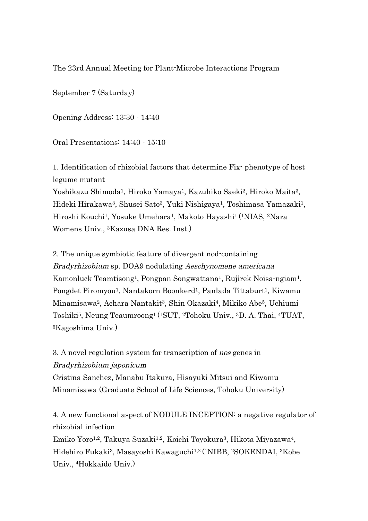The 23rd Annual Meeting for Plant-Microbe Interactions Program

September 7 (Saturday)

Opening Address: 13:30 - 14:40

Oral Presentations: 14:40 - 15:10

1. Identification of rhizobial factors that determine Fix- phenotype of host legume mutant

Yoshikazu Shimoda<sup>1</sup>, Hiroko Yamaya<sup>1</sup>, Kazuhiko Saeki<sup>2</sup>, Hiroko Maita<sup>3</sup>, Hideki Hirakawa3, Shusei Sato3, Yuki Nishigaya1, Toshimasa Yamazaki1, Hiroshi Kouchi1, Yosuke Umehara1, Makoto Hayashi1 (1NIAS, 2Nara Womens Univ., 3Kazusa DNA Res. Inst.)

2. The unique symbiotic feature of divergent nod-containing Bradyrhizobium sp. DOA9 nodulating Aeschynomene americana Kamonluck Teamtisong1, Pongpan Songwattana1, Rujirek Noisa-ngiam1, Pongdet Piromyou<sup>1</sup>, Nantakorn Boonkerd<sup>1</sup>, Panlada Tittaburt<sup>1</sup>, Kiwamu Minamisawa2, Achara Nantakit3, Shin Okazaki4, Mikiko Abe5, Uchiumi Toshiki5, Neung Teaumroong1 (1SUT, 2Tohoku Univ., 3D. A. Thai, 4TUAT, 5Kagoshima Univ.)

3. A novel regulation system for transcription of nos genes in Bradyrhizobium japonicum Cristina Sanchez, Manabu Itakura, Hisayuki Mitsui and Kiwamu Minamisawa (Graduate School of Life Sciences, Tohoku University)

4. A new functional aspect of NODULE INCEPTION: a negative regulator of rhizobial infection

Emiko Yoro1,2, Takuya Suzaki1,2, Koichi Toyokura3, Hikota Miyazawa4, Hidehiro Fukaki3, Masayoshi Kawaguchi1,2 (1NIBB, 2SOKENDAI, 3Kobe Univ., 4Hokkaido Univ.)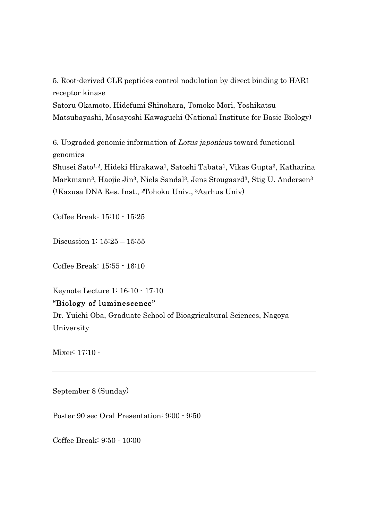5. Root-derived CLE peptides control nodulation by direct binding to HAR1 receptor kinase Satoru Okamoto, Hidefumi Shinohara, Tomoko Mori, Yoshikatsu Matsubayashi, Masayoshi Kawaguchi (National Institute for Basic Biology)

6. Upgraded genomic information of Lotus japonicus toward functional genomics Shusei Sato1,2, Hideki Hirakawa1, Satoshi Tabata1, Vikas Gupta3, Katharina Markmann<sup>3</sup>, Haojie Jin<sup>3</sup>, Niels Sandal<sup>3</sup>, Jens Stougaard<sup>3</sup>, Stig U. Andersen<sup>3</sup> (1Kazusa DNA Res. Inst., 2Tohoku Univ., 3Aarhus Univ)

Coffee Break: 15:10 - 15:25

Discussion 1: 15:25 – 15:55

Coffee Break: 15:55 - 16:10

Keynote Lecture 1: 16:10 - 17:10

## "Biology of luminescence"

Dr. Yuichi Oba, Graduate School of Bioagricultural Sciences, Nagoya University

Mixer: 17:10 -

September 8 (Sunday)

Poster 90 sec Oral Presentation: 9:00 - 9:50

Coffee Break: 9:50 - 10:00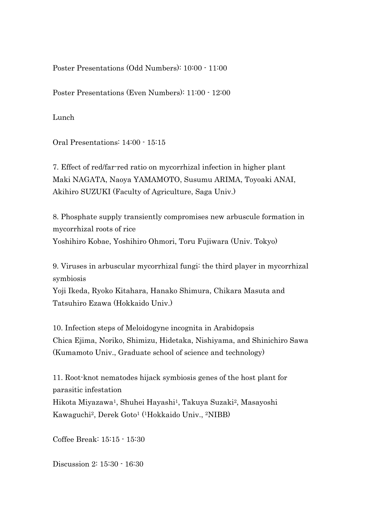Poster Presentations (Odd Numbers): 10:00 - 11:00

Poster Presentations (Even Numbers): 11:00 - 12:00

Lunch

Oral Presentations: 14:00 - 15:15

7. Effect of red/far-red ratio on mycorrhizal infection in higher plant Maki NAGATA, Naoya YAMAMOTO, Susumu ARIMA, Toyoaki ANAI, Akihiro SUZUKI (Faculty of Agriculture, Saga Univ.)

8. Phosphate supply transiently compromises new arbuscule formation in mycorrhizal roots of rice Yoshihiro Kobae, Yoshihiro Ohmori, Toru Fujiwara (Univ. Tokyo)

9. Viruses in arbuscular mycorrhizal fungi: the third player in mycorrhizal symbiosis

Yoji Ikeda, Ryoko Kitahara, Hanako Shimura, Chikara Masuta and Tatsuhiro Ezawa (Hokkaido Univ.)

10. Infection steps of Meloidogyne incognita in Arabidopsis Chica Ejima, Noriko, Shimizu, Hidetaka, Nishiyama, and Shinichiro Sawa (Kumamoto Univ., Graduate school of science and technology)

11. Root-knot nematodes hijack symbiosis genes of the host plant for parasitic infestation Hikota Miyazawa<sup>1</sup>, Shuhei Hayashi<sup>1</sup>, Takuya Suzaki<sup>2</sup>, Masayoshi Kawaguchi2, Derek Goto1 (1Hokkaido Univ., 2NIBB)

Coffee Break: 15:15 - 15:30

Discussion 2: 15:30 - 16:30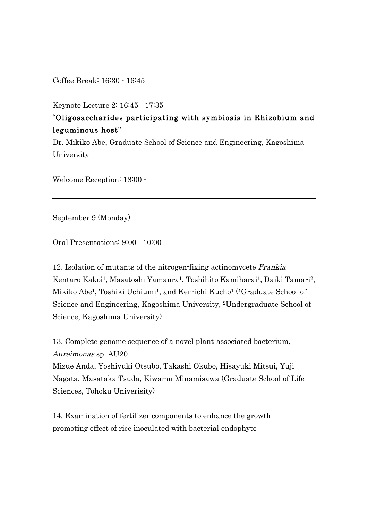Coffee Break: 16:30 - 16:45

Keynote Lecture 2: 16:45 - 17:35

## "Oligosaccharides participating with symbiosis in Rhizobium and leguminous host"

Dr. Mikiko Abe, Graduate School of Science and Engineering, Kagoshima University

Welcome Reception: 18:00 -

September 9 (Monday)

Oral Presentations: 9:00 - 10:00

12. Isolation of mutants of the nitrogen-fixing actinomycete Frankia Kentaro Kakoi<sup>1</sup>, Masatoshi Yamaura<sup>1</sup>, Toshihito Kamiharai<sup>1</sup>, Daiki Tamari<sup>2</sup>, Mikiko Abe<sup>1</sup>, Toshiki Uchiumi<sup>1</sup>, and Ken-ichi Kucho<sup>1</sup> (<sup>1</sup>Graduate School of Science and Engineering, Kagoshima University, 2Undergraduate School of Science, Kagoshima University)

13. Complete genome sequence of a novel plant-associated bacterium, Aureimonas sp. AU20

Mizue Anda, Yoshiyuki Otsubo, Takashi Okubo, Hisayuki Mitsui, Yuji Nagata, Masataka Tsuda, Kiwamu Minamisawa (Graduate School of Life Sciences, Tohoku Univerisity)

14. Examination of fertilizer components to enhance the growth promoting effect of rice inoculated with bacterial endophyte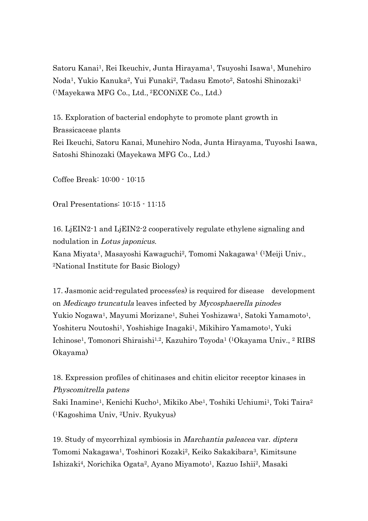Satoru Kanai<sup>1</sup>, Rei Ikeuchiv, Junta Hirayama<sup>1</sup>, Tsuyoshi Isawa<sup>1</sup>, Munehiro Noda<sup>1</sup>, Yukio Kanuka<sup>2</sup>, Yui Funaki<sup>2</sup>, Tadasu Emoto<sup>2</sup>, Satoshi Shinozaki<sup>1</sup> (1Mayekawa MFG Co., Ltd., 2ECONiXE Co., Ltd.)

15. Exploration of bacterial endophyte to promote plant growth in Brassicaceae plants Rei Ikeuchi, Satoru Kanai, Munehiro Noda, Junta Hirayama, Tuyoshi Isawa, Satoshi Shinozaki (Mayekawa MFG Co., Ltd.)

Coffee Break: 10:00 - 10:15

Oral Presentations: 10:15 - 11:15

16. LjEIN2-1 and LjEIN2-2 cooperatively regulate ethylene signaling and nodulation in Lotus japonicus. Kana Miyata1, Masayoshi Kawaguchi2, Tomomi Nakagawa1 (1Meiji Univ., 2National Institute for Basic Biology)

17. Jasmonic acid-regulated process(es) is required for disease development on Medicago truncatula leaves infected by Mycosphaerella pinodes Yukio Nogawa<sup>1</sup>, Mayumi Morizane<sup>1</sup>, Suhei Yoshizawa<sup>1</sup>, Satoki Yamamoto<sup>1</sup>, Yoshiteru Noutoshi1, Yoshishige Inagaki1, Mikihiro Yamamoto1, Yuki Ichinose<sup>1</sup>, Tomonori Shiraishi<sup>1,2</sup>, Kazuhiro Toyoda<sup>1</sup> (<sup>1</sup>Okayama Univ., <sup>2</sup> RIBS Okayama)

18. Expression profiles of chitinases and chitin elicitor receptor kinases in Physcomitrella patens Saki Inamine<sup>1</sup>, Kenichi Kucho<sup>1</sup>, Mikiko Abe<sup>1</sup>, Toshiki Uchiumi<sup>1</sup>, Toki Taira<sup>2</sup> (1Kagoshima Univ, 2Univ. Ryukyus)

19. Study of mycorrhizal symbiosis in Marchantia paleacea var. diptera Tomomi Nakagawa1, Toshinori Kozaki2, Keiko Sakakibara3, Kimitsune Ishizaki4, Norichika Ogata2, Ayano Miyamoto1, Kazuo Ishii2, Masaki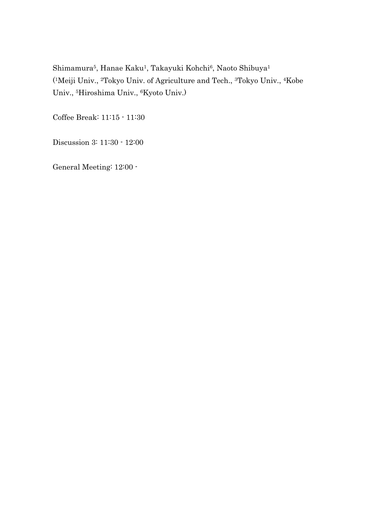Shimamura<sup>5</sup>, Hanae Kaku<sup>1</sup>, Takayuki Kohchi<sup>6</sup>, Naoto Shibuya<sup>1</sup> (1Meiji Univ., 2Tokyo Univ. of Agriculture and Tech., 3Tokyo Univ., 4Kobe Univ., 5Hiroshima Univ., 6Kyoto Univ.)

Coffee Break: 11:15 - 11:30

Discussion 3: 11:30 - 12:00

General Meeting: 12:00 -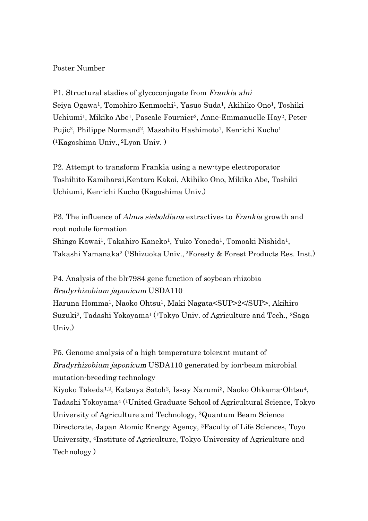## Poster Number

P1. Structural stadies of glycoconjugate from Frankia alni Seiya Ogawa1, Tomohiro Kenmochi1, Yasuo Suda1, Akihiko Ono1, Toshiki Uchiumi<sup>1</sup>, Mikiko Abe<sup>1</sup>, Pascale Fournier<sup>2</sup>, Anne-Emmanuelle Hay<sup>2</sup>, Peter Pujic<sup>2</sup>, Philippe Normand<sup>2</sup>, Masahito Hashimoto<sup>1</sup>, Ken-ichi Kucho<sup>1</sup> (1Kagoshima Univ., 2Lyon Univ. )

P2. Attempt to transform Frankia using a new-type electroporator Toshihito Kamiharai,Kentaro Kakoi, Akihiko Ono, Mikiko Abe, Toshiki Uchiumi, Ken-ichi Kucho (Kagoshima Univ.)

P3. The influence of *Alnus sieboldiana* extractives to *Frankia* growth and root nodule formation Shingo Kawai<sup>1</sup>, Takahiro Kaneko<sup>1</sup>, Yuko Yoneda<sup>1</sup>, Tomoaki Nishida<sup>1</sup>, Takashi Yamanaka2 (1Shizuoka Univ., 2Foresty & Forest Products Res. Inst.)

P4. Analysis of the blr7984 gene function of soybean rhizobia Bradyrhizobium japonicum USDA110

Haruna Homma1, Naoko Ohtsu1, Maki Nagata<SUP>2</SUP>, Akihiro Suzuki2, Tadashi Yokoyama1 (1Tokyo Univ. of Agriculture and Tech., 2Saga Univ.)

P5. Genome analysis of a high temperature tolerant mutant of Bradyrhizobium japonicum USDA110 generated by ion-beam microbial mutation-breeding technology

Kiyoko Takeda1,2, Katsuya Satoh2, Issay Narumi3, Naoko Ohkama-Ohtsu4, Tadashi Yokoyama4 (1United Graduate School of Agricultural Science, Tokyo University of Agriculture and Technology, 2Quantum Beam Science Directorate, Japan Atomic Energy Agency, 3Faculty of Life Sciences, Toyo University, 4Institute of Agriculture, Tokyo University of Agriculture and Technology )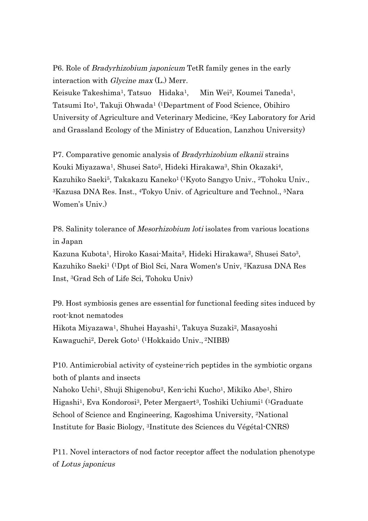P6. Role of Bradyrhizobium japonicum TetR family genes in the early interaction with *Glycine max* (L.) Merr.

Keisuke Takeshima1, Tatsuo Hidaka1, Min Wei2, Koumei Taneda1, Tatsumi Ito1, Takuji Ohwada1 (1Department of Food Science, Obihiro University of Agriculture and Veterinary Medicine, 2Key Laboratory for Arid and Grassland Ecology of the Ministry of Education, Lanzhou University)

P7. Comparative genomic analysis of Bradyrhizobium elkanii strains Kouki Miyazawa1, Shusei Sato2, Hideki Hirakawa3, Shin Okazaki4, Kazuhiko Saeki5, Takakazu Kaneko1 (1Kyoto Sangyo Univ., 2Tohoku Univ., 3Kazusa DNA Res. Inst., 4Tokyo Univ. of Agriculture and Technol., 5Nara Women's Univ.)

P8. Salinity tolerance of Mesorhizobium loti isolates from various locations in Japan

Kazuna Kubota1, Hiroko Kasai-Maita2, Hideki Hirakawa2, Shusei Sato3, Kazuhiko Saeki1 (1Dpt of Biol Sci, Nara Women's Univ, 2Kazusa DNA Res Inst, 3Grad Sch of Life Sci, Tohoku Univ)

P9. Host symbiosis genes are essential for functional feeding sites induced by root-knot nematodes Hikota Miyazawa<sup>1</sup>, Shuhei Hayashi<sup>1</sup>, Takuya Suzaki<sup>2</sup>, Masayoshi Kawaguchi2, Derek Goto1 (1Hokkaido Univ., 2NIBB)

P10. Antimicrobial activity of cysteine-rich peptides in the symbiotic organs both of plants and insects

Nahoko Uchi1, Shuji Shigenobu2, Ken-ichi Kucho1, Mikiko Abe1, Shiro Higashi1, Eva Kondorosi3, Peter Mergaert3, Toshiki Uchiumi1 (1Graduate School of Science and Engineering, Kagoshima University, 2National Institute for Basic Biology, 3Institute des Sciences du Végétal-CNRS)

P11. Novel interactors of nod factor receptor affect the nodulation phenotype of Lotus japonicus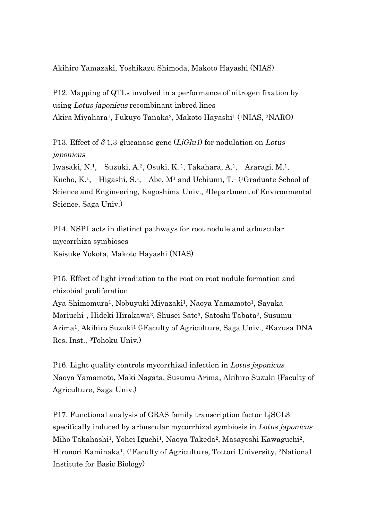Akihiro Yamazaki, Yoshikazu Shimoda, Makoto Hayashi (NIAS)

P12. Mapping of QTLs involved in a performance of nitrogen fixation by using Lotus japonicus recombinant inbred lines Akira Miyahara1, Fukuyo Tanaka2, Makoto Hayashi1 (1NIAS, 2NARO)

P13. Effect of  $\beta$ -1,3-glucanase gene (LjGlu1) for nodulation on Lotus japonicus

Iwasaki, N.1, Suzuki, A.2, Osuki, K. 1, Takahara, A.1, Araragi, M.1, Kucho, K.<sup>1</sup>, Higashi, S.<sup>1</sup>, Abe, M<sup>1</sup> and Uchiumi, T.<sup>1</sup> (<sup>1</sup>Graduate School of Science and Engineering, Kagoshima Univ., 2Department of Environmental Science, Saga Univ.)

P14. NSP1 acts in distinct pathways for root nodule and arbuscular mycorrhiza symbioses Keisuke Yokota, Makoto Hayashi (NIAS)

P15. Effect of light irradiation to the root on root nodule formation and rhizobial proliferation Aya Shimomura<sup>1</sup>, Nobuyuki Miyazaki<sup>1</sup>, Naoya Yamamoto<sup>1</sup>, Sayaka Moriuchi1, Hideki Hirakawa2, Shusei Sato3, Satoshi Tabata2, Susumu Arima1, Akihiro Suzuki1 (1Faculty of Agriculture, Saga Univ., 2Kazusa DNA Res. Inst., 3Tohoku Univ.)

P16. Light quality controls mycorrhizal infection in Lotus japonicus Naoya Yamamoto, Maki Nagata, Susumu Arima, Akihiro Suzuki (Faculty of Agriculture, Saga Univ.)

P17. Functional analysis of GRAS family transcription factor LjSCL3 specifically induced by arbuscular mycorrhizal symbiosis in Lotus japonicus Miho Takahashi1, Yohei Iguchi1, Naoya Takeda2, Masayoshi Kawaguchi2, Hironori Kaminaka1, (1Faculty of Agriculture, Tottori University, 2National Institute for Basic Biology)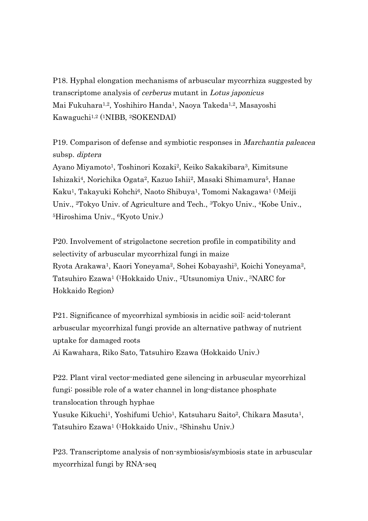P18. Hyphal elongation mechanisms of arbuscular mycorrhiza suggested by transcriptome analysis of cerberus mutant in Lotus japonicus Mai Fukuhara1,2, Yoshihiro Handa1, Naoya Takeda1,2, Masayoshi Kawaguchi1,2 (1NIBB, 2SOKENDAI)

P19. Comparison of defense and symbiotic responses in Marchantia paleacea subsp. diptera

Ayano Miyamoto1, Toshinori Kozaki2, Keiko Sakakibara3, Kimitsune Ishizaki4, Norichika Ogata2, Kazuo Ishii2, Masaki Shimamura5, Hanae Kaku1, Takayuki Kohchi6, Naoto Shibuya1, Tomomi Nakagawa1 (1Meiji Univ., 2Tokyo Univ. of Agriculture and Tech., 3Tokyo Univ., 4Kobe Univ., 5Hiroshima Univ., 6Kyoto Univ.)

P20. Involvement of strigolactone secretion profile in compatibility and selectivity of arbuscular mycorrhizal fungi in maize Ryota Arakawa1, Kaori Yoneyama2, Sohei Kobayashi3, Koichi Yoneyama2, Tatsuhiro Ezawa1 (1Hokkaido Univ., 2Utsunomiya Univ., 3NARC for Hokkaido Region)

P21. Significance of mycorrhizal symbiosis in acidic soil: acid-tolerant arbuscular mycorrhizal fungi provide an alternative pathway of nutrient uptake for damaged roots

Ai Kawahara, Riko Sato, Tatsuhiro Ezawa (Hokkaido Univ.)

P22. Plant viral vector-mediated gene silencing in arbuscular mycorrhizal fungi: possible role of a water channel in long-distance phosphate translocation through hyphae Yusuke Kikuchi<sup>1</sup>, Yoshifumi Uchio<sup>1</sup>, Katsuharu Saito<sup>2</sup>, Chikara Masuta<sup>1</sup>, Tatsuhiro Ezawa1 (1Hokkaido Univ., 2Shinshu Univ.)

P23. Transcriptome analysis of non-symbiosis/symbiosis state in arbuscular mycorrhizal fungi by RNA-seq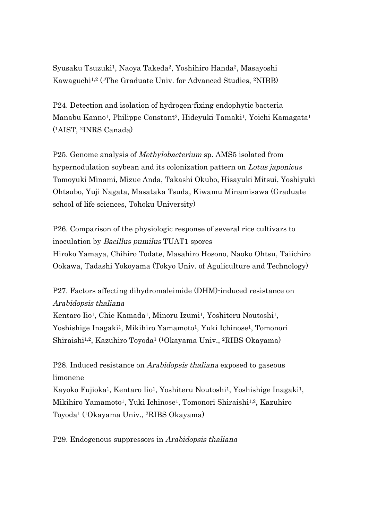Syusaku Tsuzuki<sup>1</sup>, Naoya Takeda<sup>2</sup>, Yoshihiro Handa<sup>2</sup>, Masayoshi Kawaguchi1,2 (1The Graduate Univ. for Advanced Studies, 2NIBB)

P24. Detection and isolation of hydrogen-fixing endophytic bacteria Manabu Kanno<sup>1</sup>, Philippe Constant<sup>2</sup>, Hideyuki Tamaki<sup>1</sup>, Yoichi Kamagata<sup>1</sup> (1AIST, 2INRS Canada)

P25. Genome analysis of Methylobacterium sp. AMS5 isolated from hypernodulation soybean and its colonization pattern on Lotus japonicus Tomoyuki Minami, Mizue Anda, Takashi Okubo, Hisayuki Mitsui, Yoshiyuki Ohtsubo, Yuji Nagata, Masataka Tsuda, Kiwamu Minamisawa (Graduate school of life sciences, Tohoku University)

P26. Comparison of the physiologic response of several rice cultivars to inoculation by Bacillus pumilus TUAT1 spores Hiroko Yamaya, Chihiro Todate, Masahiro Hosono, Naoko Ohtsu, Taiichiro Ookawa, Tadashi Yokoyama (Tokyo Univ. of Aguliculture and Technology)

P27. Factors affecting dihydromaleimide (DHM)-induced resistance on Arabidopsis thaliana

Kentaro Iio<sup>1</sup>, Chie Kamada<sup>1</sup>, Minoru Izumi<sup>1</sup>, Yoshiteru Noutoshi<sup>1</sup>, Yoshishige Inagaki<sup>1</sup>, Mikihiro Yamamoto<sup>1</sup>, Yuki Ichinose<sup>1</sup>, Tomonori Shiraishi1,2, Kazuhiro Toyoda1 (1Okayama Univ., 2RIBS Okayama)

P28. Induced resistance on *Arabidopsis thaliana* exposed to gaseous limonene

Kayoko Fujioka<sup>1</sup>, Kentaro Iio<sup>1</sup>, Yoshiteru Noutoshi<sup>1</sup>, Yoshishige Inagaki<sup>1</sup>, Mikihiro Yamamoto1, Yuki Ichinose1, Tomonori Shiraishi1,2, Kazuhiro Toyoda1 (1Okayama Univ., 2RIBS Okayama)

P29. Endogenous suppressors in Arabidopsis thaliana